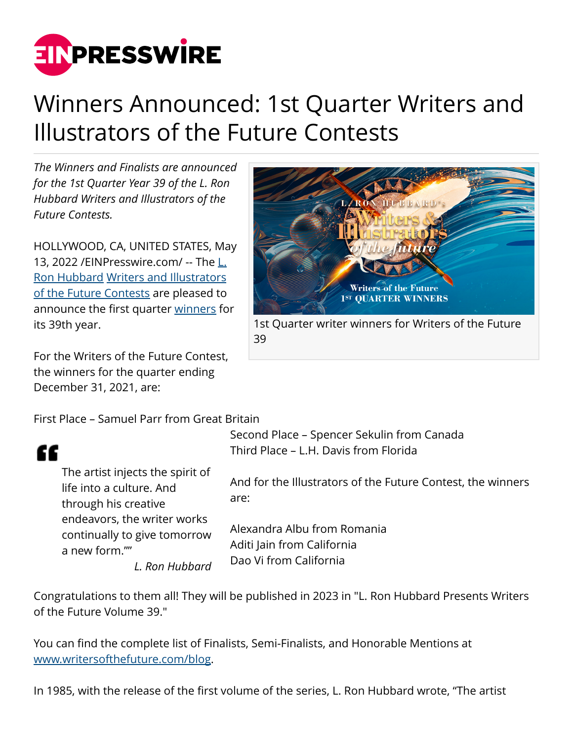

## Winners Announced: 1st Quarter Writers and Illustrators of the Future Contests

*The Winners and Finalists are announced for the 1st Quarter Year 39 of the L. Ron Hubbard Writers and Illustrators of the Future Contests.*

HOLLYWOOD, CA, UNITED STATES, May 13, 2022 / EIN Presswire.com / -- The [L.](http://www.writersofthefuture.com/about-l-ron-hubbard/) [Ron Hubbard](http://www.writersofthefuture.com/about-l-ron-hubbard/) [Writers and Illustrators](https://www.writersofthefuture.com/enter-writer-contest/) [of the Future Contests](https://www.writersofthefuture.com/enter-writer-contest/) are pleased to announce the first quarter [winners](http://www.writersofthefuture.com/blog/) for its 39th year.

For the Writers of the Future Contest, the winners for the quarter ending December 31, 2021, are:

First Place – Samuel Parr from Great Britain

## ££

The artist injects the spirit of life into a culture. And through his creative endeavors, the writer works continually to give tomorrow a new form.""

*L. Ron Hubbard*



1st Quarter writer winners for Writers of the Future 39

Second Place – Spencer Sekulin from Canada Third Place – L.H. Davis from Florida

And for the Illustrators of the Future Contest, the winners are:

Alexandra Albu from Romania Aditi Jain from California Dao Vi from California

Congratulations to them all! They will be published in 2023 in "L. Ron Hubbard Presents Writers of the Future Volume 39."

You can find the complete list of Finalists, Semi-Finalists, and Honorable Mentions at [www.writersofthefuture.com/blog](http://www.writersofthefuture.com/blog).

In 1985, with the release of the first volume of the series, L. Ron Hubbard wrote, "The artist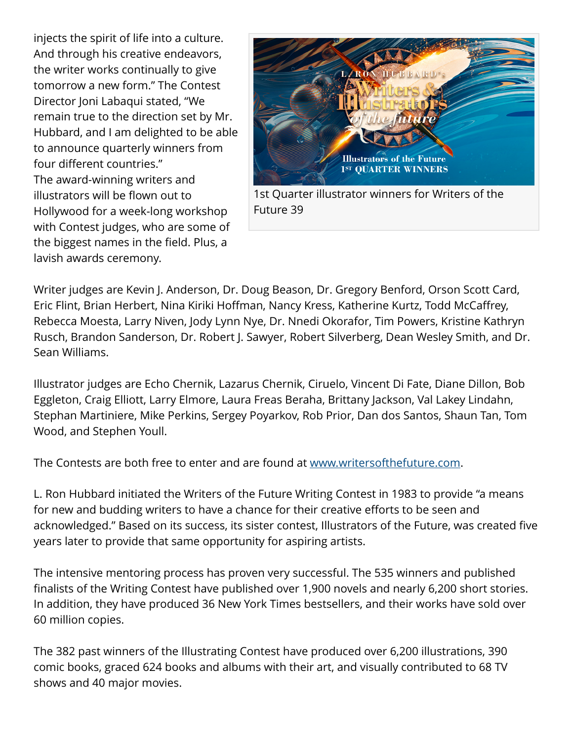injects the spirit of life into a culture. And through his creative endeavors, the writer works continually to give tomorrow a new form." The Contest Director Joni Labaqui stated, "We remain true to the direction set by Mr. Hubbard, and I am delighted to be able to announce quarterly winners from four different countries." The award-winning writers and illustrators will be flown out to Hollywood for a week-long workshop with Contest judges, who are some of the biggest names in the field. Plus, a lavish awards ceremony.



1st Quarter illustrator winners for Writers of the Future 39

Writer judges are Kevin J. Anderson, Dr. Doug Beason, Dr. Gregory Benford, Orson Scott Card, Eric Flint, Brian Herbert, Nina Kiriki Hoffman, Nancy Kress, Katherine Kurtz, Todd McCaffrey, Rebecca Moesta, Larry Niven, Jody Lynn Nye, Dr. Nnedi Okorafor, Tim Powers, Kristine Kathryn Rusch, Brandon Sanderson, Dr. Robert J. Sawyer, Robert Silverberg, Dean Wesley Smith, and Dr. Sean Williams.

Illustrator judges are Echo Chernik, Lazarus Chernik, Ciruelo, Vincent Di Fate, Diane Dillon, Bob Eggleton, Craig Elliott, Larry Elmore, Laura Freas Beraha, Brittany Jackson, Val Lakey Lindahn, Stephan Martiniere, Mike Perkins, Sergey Poyarkov, Rob Prior, Dan dos Santos, Shaun Tan, Tom Wood, and Stephen Youll.

The Contests are both free to enter and are found at [www.writersofthefuture.com](http://www.writersofthefuture.com).

L. Ron Hubbard initiated the Writers of the Future Writing Contest in 1983 to provide "a means for new and budding writers to have a chance for their creative efforts to be seen and acknowledged." Based on its success, its sister contest, Illustrators of the Future, was created five years later to provide that same opportunity for aspiring artists.

The intensive mentoring process has proven very successful. The 535 winners and published finalists of the Writing Contest have published over 1,900 novels and nearly 6,200 short stories. In addition, they have produced 36 New York Times bestsellers, and their works have sold over 60 million copies.

The 382 past winners of the Illustrating Contest have produced over 6,200 illustrations, 390 comic books, graced 624 books and albums with their art, and visually contributed to 68 TV shows and 40 major movies.